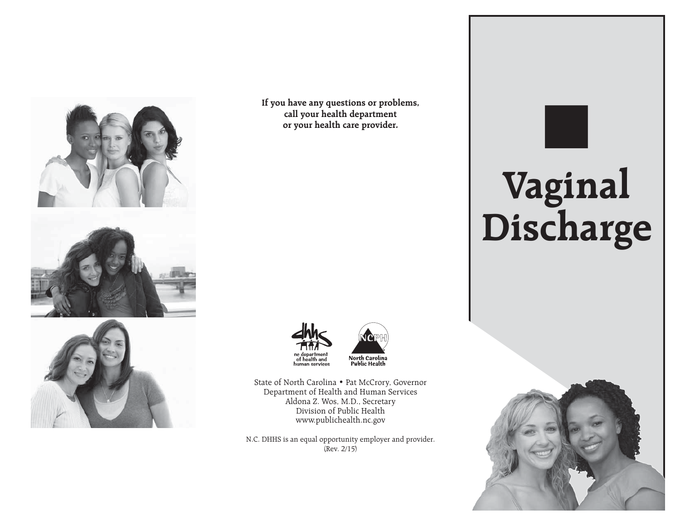

**If you have any questions or problems, call your health department or your health care provider.**



State of North Carolina • Pat McCrory, Governor Department of Health and Human Services Aldona Z. Wos, M.D., Secretary Division of Public Health www.publichealth.nc.gov

N.C. DHHS is an equal opportunity employer and provider. (Rev. 2/15)

# Ξ **Vaginal Discharge**